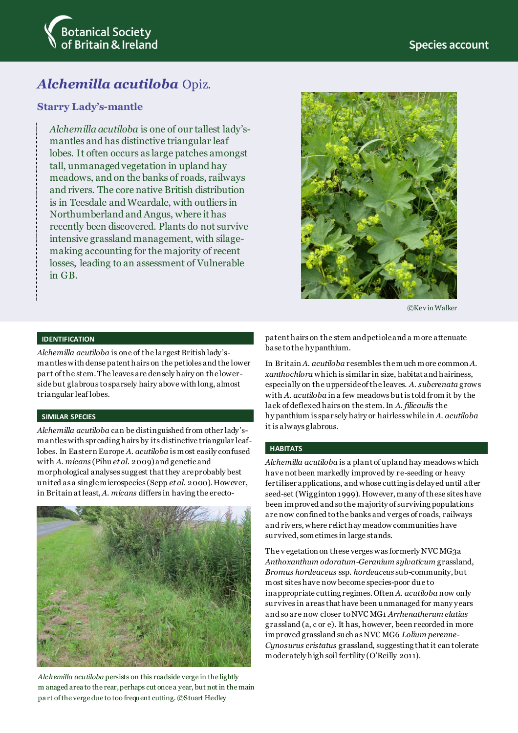

# *Alchemilla acutiloba* Opiz.

## **Starry Lady's-mantle**

*Alchemilla acutiloba* is one of our tallest lady'smantles and has distinctive triangular leaf lobes. It often occurs as large patches amongst tall, unmanaged vegetation in upland hay meadows, and on the banks of roads, railways and rivers. The core native British distribution is in Teesdale and Weardale, with outliers in Northumberland and Angus, where it has recently been discovered. Plants do not survive intensive grassland management, with silagemaking accounting for the majority of recent losses, leading to an assessment of Vulnerable in GB.



©Kev in Walker

## **IDENTIFICATION**

*Alchemilla acutiloba* is one of the largest British lady'smantles with dense patent hairs on the petioles and the lower part of the stem. The leaves are densely hairy on the lowerside but glabrous to sparsely hairy above with long, almost triangular leaf lobes.

#### **SIMILAR SPECIES**

*Alchemilla acutiloba* can be distinguished from other lady'smantles with spreading hairs by its distinctive triangular leaflobes. In Eastern Europe *A. acutiloba* is most easily confused with *A. micans* (Pihu *et al*. 2009) and genetic and morphological analyses suggest that they are probably best united as a single microspecies (Sepp *et al*. 2000). However, in Britain at least, *A. micans* differs in having the erecto-



*Alchemilla acutiloba* persists on this roadside verge in the lightly m anaged area to the rear, perhaps cut once a year, but not in the main pa rt of the verge due to too frequent cutting. ©Stuart Hedley

patent hairs on the stem and petiole and a more attenuate base to the hypanthium.

In Britain *A. acutiloba* resembles the much more common *A. xanthochlora* which is similar in size, habitat and hairiness, especially on the upperside of the leaves. *A. subcrenata* grows with *A. acutiloba* in a few meadows but is told from it by the lack of deflexed hairs on the stem. In *A. filicaulis* the hy panthium is sparsely hairy or hairless while in *A. acutiloba* it is always glabrous.

#### **HABITATS**

*Alchemilla acutiloba* is a plant of upland hay meadows which have not been markedly improved by re-seeding or heavy fertiliser applications, and whose cutting is delayed until after seed-set (Wigginton 1999). However, many of these sites have been improved and so the majority of surviving populations are now confined to the banks and verges of roads, railways and rivers, where relict hay meadow communities have survived, sometimes in large stands.

The v egetation on these verges was formerly NVC MG3a *Anthoxanthum odoratum*-*Geranium sylvaticum* grassland, *Bromus hordeaceus* ssp. *hordeaceus* sub-community, but most sites have now become species-poor due to inappropriate cutting regimes. Often *A. acutiloba* now only survives in areas that have been unmanaged for many years and so are now closer to NVC MG1 *Arrhenatherum elatius* grassland (a, c or e). It has, however, been recorded in more improved grassland such as NVC MG6 *Lolium perenne*-*Cynosurus cristatus* grassland, suggesting that it can tolerate moderately high soil fertility (O'Reilly 2011).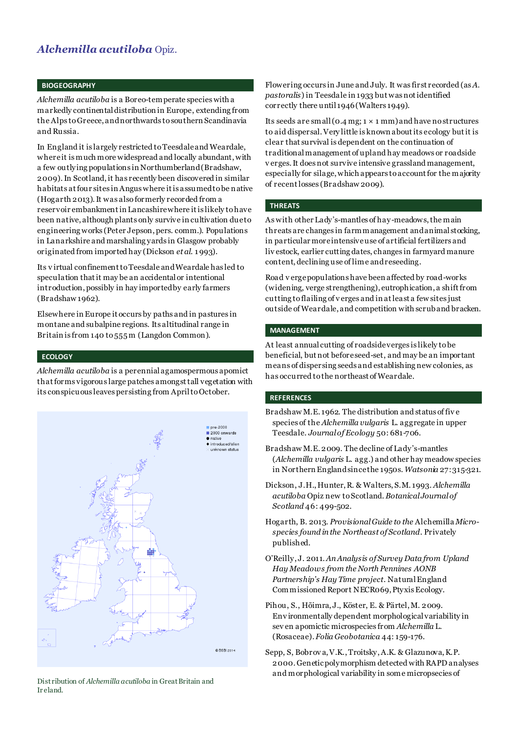## *Alchemilla acutiloba* Opiz.

#### **BIOGEOGRAPHY**

*Alchemilla acutiloba* is a Boreo-temperate species with a markedly continental distribution in Europe, extending from the Alps to Greece, and northwards to southern Scandinavia and Russia.

In England it is largely restricted to Teesdale and Weardale, where it is much more widespread and locally abundant, with a few outlying populations in Northumberland (Bradshaw, 2009). In Scotland, it has recently been discovered in similar habitats at four sites in Angus where it is assumed to be native (Hogarth 2013). It was also formerly recorded from a reservoir embankment in Lancashire where it is likely to have been native, although plants only survive in cultivation due to engineering works (Peter Jepson, pers. comm.). Populations in Lanarkshire and marshaling yards in Glasgow probably originated from imported hay (Dickson *et al.* 1 993).

Its v irtual confinement to Teesdale and Weardale has led to speculation that it may be an accidental or intentional introduction, possibly in hay imported by early farmers (Bradshaw 1962).

Elsewhere in Europe it occurs by paths and in pastures in montane and subalpine regions. Its altitudinal range in Britain is from 140 to 555 m (Langdon Common).

#### **ECOLOGY**

*Alchemilla acutiloba* is a perennial agamospermous apomict that forms vigorous large patches amongst tall vegetation with its conspicuous leaves persisting from April to October.



Distribution of *Alchemilla acutiloba* in Great Britain and Ir eland.

Flowering occurs in June and July. It was first recorded (as *A. pastoralis*) in Teesdale in 1933 but was not identified correctly there until 1946 (Walters 1949).

Its seeds are small (0.4 mg;  $1 \times 1$  mm) and have no structures to aid dispersal. Very little is known about its ecology but it is clear that survival is dependent on the continuation of traditional management of upland hay meadows or roadside v erges. It does not survive intensive grassland management, especially for silage, which appears to account for the majority of recent losses (Bradshaw 2009).

## **THREATS**

As with other Lady's-mantles of hay-meadows,the main threats are changes in farm management and animal stocking, in particular more intensive use of artificial fertilizers and liv estock, earlier cutting dates, changes in farmyard manure content, declining use of lime and reseeding.

Road v erge populations have been affected by road-works (widening, verge strengthening), eutrophication, a shift from cutting to flailing of v erges and in at least a few sites just outside of Weardale, and competition with scrub and bracken.

#### **MANAGEMENT**

At least annual cutting of roadside verges is likely to be beneficial, but not before seed-set, and may be an important means of dispersing seeds and establishing new colonies, as has occurred to the northeast of Weardale.

### **REFERENCES**

- Bradshaw M.E. 1962. The distribution and status of fiv e species of the *Alchemilla vulgaris* L. aggregate in upper Teesdale. *Journal of Ecology* 50: 681-706.
- Bradshaw M.E. 2009. The decline of Lady's-mantles (*Alchemilla vulgaris* L. agg.) and other hay meadow species in Northern England since the 1950s. *Watsonia* 27:315-321.
- Dickson, J.H., Hunter, R. & Walters, S.M. 1993. *Alchemilla acutiloba* Opiz new to Scotland. *Botanical Journal of Scotland* 46: 499-502.
- Hogarth, B. 2013. *Provisional Guide to the* Alchemilla *Microspecies found in the Northeast of Scotland*. Privately published.
- O'Reilly, J. 2011. *An Analysis of Survey Data from Upland Hay Meadows from the North Pennines AONB Partnership's Hay Time project*. Natural England Commissioned Report NECR069, Ptyxis Ecology.
- Pihou, S., Hõimra, J., Köster, E. & Pärtel, M. 2009. Env ironmentally dependent morphological variability in sev en apomictic microspecies from *Alchemilla* L. (Rosaceae). *Folia Geobotanica* 44: 159-176.
- Sepp, S, Bobrov a, V.K., Troitsky, A.K. & Glazunova, K.P. 2000. Genetic polymorphism detected with RAPD analyses and morphological variability in some micropsecies of